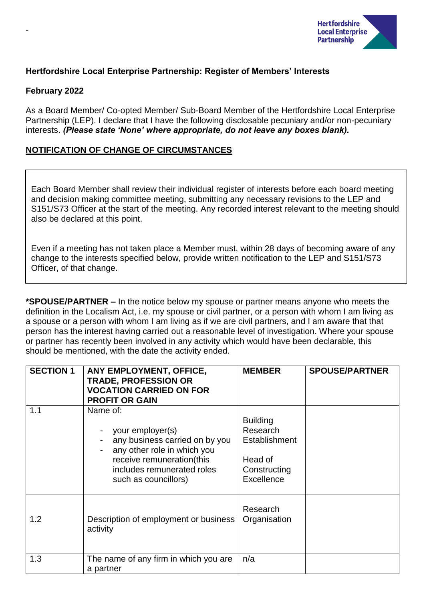

#### **Hertfordshire Local Enterprise Partnership: Register of Members' Interests**

#### **February 2022**

-

As a Board Member/ Co-opted Member/ Sub-Board Member of the Hertfordshire Local Enterprise Partnership (LEP). I declare that I have the following disclosable pecuniary and/or non-pecuniary interests. *(Please state 'None' where appropriate, do not leave any boxes blank).*

#### **NOTIFICATION OF CHANGE OF CIRCUMSTANCES**

Each Board Member shall review their individual register of interests before each board meeting and decision making committee meeting, submitting any necessary revisions to the LEP and S151/S73 Officer at the start of the meeting. Any recorded interest relevant to the meeting should also be declared at this point.

Even if a meeting has not taken place a Member must, within 28 days of becoming aware of any change to the interests specified below, provide written notification to the LEP and S151/S73 Officer, of that change.

**\*SPOUSE/PARTNER –** In the notice below my spouse or partner means anyone who meets the definition in the Localism Act, i.e. my spouse or civil partner, or a person with whom I am living as a spouse or a person with whom I am living as if we are civil partners, and I am aware that that person has the interest having carried out a reasonable level of investigation. Where your spouse or partner has recently been involved in any activity which would have been declarable, this should be mentioned, with the date the activity ended.

| <b>SECTION 1</b> | ANY EMPLOYMENT, OFFICE,<br><b>TRADE, PROFESSION OR</b><br><b>VOCATION CARRIED ON FOR</b><br><b>PROFIT OR GAIN</b>                                                                | <b>MEMBER</b>                                                                         | <b>SPOUSE/PARTNER</b> |
|------------------|----------------------------------------------------------------------------------------------------------------------------------------------------------------------------------|---------------------------------------------------------------------------------------|-----------------------|
| 1.1              | Name of:<br>your employer(s)<br>any business carried on by you<br>any other role in which you<br>receive remuneration(this<br>includes remunerated roles<br>such as councillors) | <b>Building</b><br>Research<br>Establishment<br>Head of<br>Constructing<br>Excellence |                       |
| 1.2              | Description of employment or business<br>activity                                                                                                                                | Research<br>Organisation                                                              |                       |
| 1.3              | The name of any firm in which you are<br>a partner                                                                                                                               | n/a                                                                                   |                       |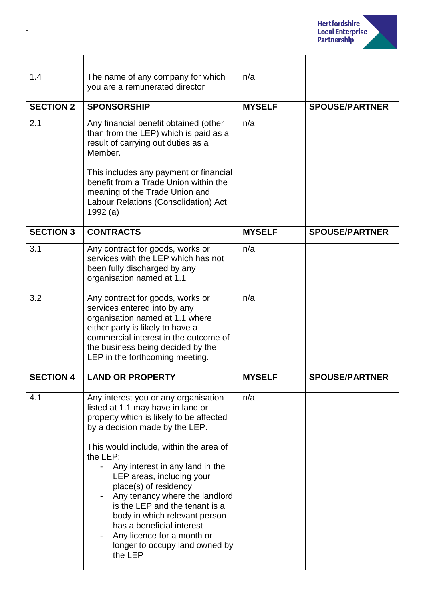

| 1.4              | The name of any company for which<br>you are a remunerated director                                                                                                                                                                                                                                                                                                                                                                                                                                                                            | n/a           |                       |
|------------------|------------------------------------------------------------------------------------------------------------------------------------------------------------------------------------------------------------------------------------------------------------------------------------------------------------------------------------------------------------------------------------------------------------------------------------------------------------------------------------------------------------------------------------------------|---------------|-----------------------|
| <b>SECTION 2</b> | <b>SPONSORSHIP</b>                                                                                                                                                                                                                                                                                                                                                                                                                                                                                                                             | <b>MYSELF</b> | <b>SPOUSE/PARTNER</b> |
| 2.1              | Any financial benefit obtained (other<br>than from the LEP) which is paid as a<br>result of carrying out duties as a<br>Member.<br>This includes any payment or financial<br>benefit from a Trade Union within the<br>meaning of the Trade Union and<br>Labour Relations (Consolidation) Act<br>1992 (a)                                                                                                                                                                                                                                       | n/a           |                       |
| <b>SECTION 3</b> | <b>CONTRACTS</b>                                                                                                                                                                                                                                                                                                                                                                                                                                                                                                                               | <b>MYSELF</b> | <b>SPOUSE/PARTNER</b> |
| 3.1              | Any contract for goods, works or<br>services with the LEP which has not<br>been fully discharged by any<br>organisation named at 1.1                                                                                                                                                                                                                                                                                                                                                                                                           | n/a           |                       |
| 3.2              | Any contract for goods, works or<br>services entered into by any<br>organisation named at 1.1 where<br>either party is likely to have a<br>commercial interest in the outcome of<br>the business being decided by the<br>LEP in the forthcoming meeting.                                                                                                                                                                                                                                                                                       | n/a           |                       |
| <b>SECTION 4</b> | <b>LAND OR PROPERTY</b>                                                                                                                                                                                                                                                                                                                                                                                                                                                                                                                        | <b>MYSELF</b> | <b>SPOUSE/PARTNER</b> |
| 4.1              | Any interest you or any organisation<br>listed at 1.1 may have in land or<br>property which is likely to be affected<br>by a decision made by the LEP.<br>This would include, within the area of<br>the LEP:<br>Any interest in any land in the<br>$\overline{\phantom{0}}$<br>LEP areas, including your<br>place(s) of residency<br>Any tenancy where the landlord<br>is the LEP and the tenant is a<br>body in which relevant person<br>has a beneficial interest<br>Any licence for a month or<br>longer to occupy land owned by<br>the LEP | n/a           |                       |

-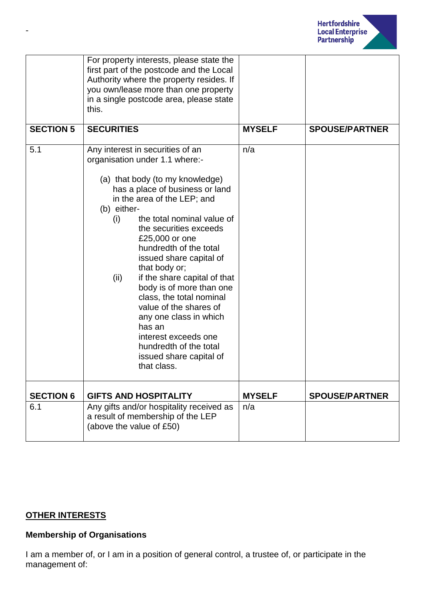

|                  | For property interests, please state the<br>first part of the postcode and the Local<br>Authority where the property resides. If<br>you own/lease more than one property<br>in a single postcode area, please state<br>this.                                                                                                                                                                                                                                                                                                                                                                            |               |                       |
|------------------|---------------------------------------------------------------------------------------------------------------------------------------------------------------------------------------------------------------------------------------------------------------------------------------------------------------------------------------------------------------------------------------------------------------------------------------------------------------------------------------------------------------------------------------------------------------------------------------------------------|---------------|-----------------------|
| <b>SECTION 5</b> | <b>SECURITIES</b>                                                                                                                                                                                                                                                                                                                                                                                                                                                                                                                                                                                       | <b>MYSELF</b> | <b>SPOUSE/PARTNER</b> |
| 5.1              | Any interest in securities of an<br>organisation under 1.1 where:-<br>(a) that body (to my knowledge)<br>has a place of business or land<br>in the area of the LEP; and<br>(b) either-<br>the total nominal value of<br>(i)<br>the securities exceeds<br>£25,000 or one<br>hundredth of the total<br>issued share capital of<br>that body or;<br>if the share capital of that<br>(ii)<br>body is of more than one<br>class, the total nominal<br>value of the shares of<br>any one class in which<br>has an<br>interest exceeds one<br>hundredth of the total<br>issued share capital of<br>that class. | n/a           |                       |
| <b>SECTION 6</b> | <b>GIFTS AND HOSPITALITY</b>                                                                                                                                                                                                                                                                                                                                                                                                                                                                                                                                                                            | <b>MYSELF</b> | <b>SPOUSE/PARTNER</b> |
| 6.1              | Any gifts and/or hospitality received as<br>a result of membership of the LEP<br>(above the value of £50)                                                                                                                                                                                                                                                                                                                                                                                                                                                                                               | n/a           |                       |

### **OTHER INTERESTS**

## **Membership of Organisations**

I am a member of, or I am in a position of general control, a trustee of, or participate in the management of: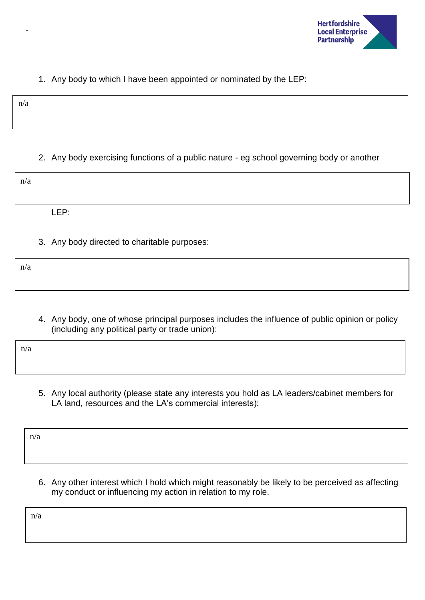

## 1. Any body to which I have been appointed or nominated by the LEP:

n/a

-

# 2. Any body exercising functions of a public nature - eg school governing body or another

| n/a          |  |  |  |
|--------------|--|--|--|
|              |  |  |  |
| I FP·<br>--- |  |  |  |

3. Any body directed to charitable purposes:

n/a

4. Any body, one of whose principal purposes includes the influence of public opinion or policy (including any political party or trade union):

n/a

5. Any local authority (please state any interests you hold as LA leaders/cabinet members for LA land, resources and the LA's commercial interests):

n/a

6. Any other interest which I hold which might reasonably be likely to be perceived as affecting my conduct or influencing my action in relation to my role.

n/a